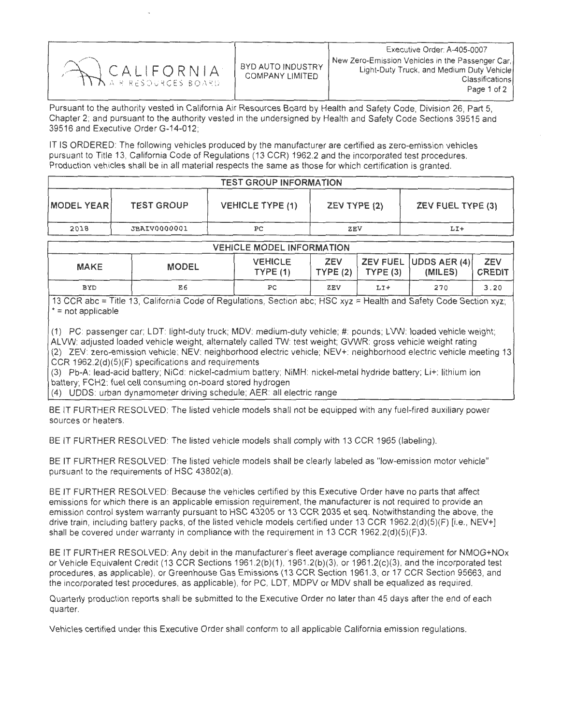| CALIFORNIA | BYD AUTO INDUSTRY<br>COMPANY LIMITED | Executive Order: A-405-0007<br>New Zero-Emission Vehicles in the Passenger Car.  <br>Light-Duty Truck, and Medium Duty Vehicle<br>Classifications<br>Page 1 of 2 |
|------------|--------------------------------------|------------------------------------------------------------------------------------------------------------------------------------------------------------------|
|------------|--------------------------------------|------------------------------------------------------------------------------------------------------------------------------------------------------------------|

Pursuant to the authority vested in California Air Resources Board by Health and Safety Code, Division 26, Part 5 Chapter 2; and pursuant to the authority vested in the undersigned by Health and Safety Code Sections 39515 and 39516 and Executive Order G-14-012;

IT IS ORDERED: The following vehicles produced by the manufacturer are certified as zero-emission vehicles pursuant to Title 13, California Code of Regulations (13 CCR) 1962.2 and the incorporated test procedures Production vehicles shall be in all material respects the same as those for which certification is granted.

| <b>TEST GROUP INFORMATION</b> |                     |                         |              |                   |  |  |  |
|-------------------------------|---------------------|-------------------------|--------------|-------------------|--|--|--|
| <b>MODEL YEARI</b>            | <b>TEST GROUP</b>   | <b>VEHICLE TYPE (1)</b> | ZEV TYPE (2) | ZEV FUEL TYPE (3) |  |  |  |
| 2018                          | <b>JBAIV0000001</b> | PС                      | ZEV          | LI+               |  |  |  |

| <b>VEHICLE MODEL INFORMATION</b> |              |                    |            |                       |                                    |                             |  |  |  |
|----------------------------------|--------------|--------------------|------------|-----------------------|------------------------------------|-----------------------------|--|--|--|
| <b>MAKE</b>                      | <b>MODEL</b> | VEHICLE<br>TYPE(1) | <b>ZEV</b> | $TYPE(2)$   $TYPE(3)$ | ZEV FUEL  UDDS AER (4) <br>(MILES) | <b>ZEV</b><br><b>CREDIT</b> |  |  |  |
| <b>BYD</b>                       | E6           | РC                 | ZEV        | LI+                   | 270                                | 3.20                        |  |  |  |

13 CCR abc = Title 13, California Code of Regulations, Section abc; HSC xyz = Health and Safety Code Section xyz; \* = not applicable

(1) PC: passenger car; LDT: light-duty truck; MDV: medium-duty vehicle; #: pounds; LVW: loaded vehicle weight; ALVW: adjusted loaded vehicle weight, alternately called TW: test weight; GVWR: gross vehicle weight rating (2) ZEV: zero-emission vehicle; NEV: neighborhood electric vehicle; NEV+: neighborhood electric vehicle meeting 13 CCR 1962.2(d)(5)(F) specifications and requirements

(3) Pb-A: lead-acid battery; NiCd: nickel-cadmium battery; NiMH: nickel-metal hydride battery; Li+: lithium ion battery; FCH2: fuel cell consuming on-board stored hydrogen

(4) UDDS: urban dynamometer driving schedule; AER: all electric range

BE IT FURTHER RESOLVED: The listed vehicle models shall not be equipped with any fuel-fired auxiliary power sources or heaters.

BE IT FURTHER RESOLVED: The listed vehicle models shall comply with 13 CCR 1965 (labeling).

BE IT FURTHER RESOLVED: The listed vehicle models shall be clearly labeled as "low-emission motor vehicle" pursuant to the requirements of HSC 43802(a).

BE IT FURTHER RESOLVED: Because the vehicles certified by this Executive Order have no parts that affect emissions for which there is an applicable emission requirement, the manufacturer is not required to provide an<br>emission control system warranty pursuant to HSC 43205 or 13 CCR 2035 et seg. Notwithstanding the above, the emission control system warranty pursuant to HSC 43205 or 13 CCR 2035 et seq. Notwithstanding the above, the r drive train, including battery packs, of the listed vehicle models certified under 13 CCR 1962.2(d)(5)(F) [i.e., NEV+] shall be covered under warranty in compliance with the requirement in 13 CCR 1962.2(d)(5)(F)3.

BE IT FURTHER RESOLVED: Any debit in the manufacturer's fleet average compliance requirement for NMOG+NOx or Vehicle Equivalent Credit (13 CCR Sections 1961.2(b)(1), 1961.2(b)(3), or 1961.2(c)(3), and the incorporated test procedures, as applicable), or Greenhouse Gas Emissions (13 CCR Section 1961.3, or 17 CCR Section 95663, and the incorporated test procedures, as applicable), for PC, LDT, MDPV or MDV shall be equalized as required.

Quarterly production reports shall be submitted to the Executive Order no later than 45 days after the end of each quarter.

Vehicles certified under this Executive Order shall conform to all applicable California emission regulations.